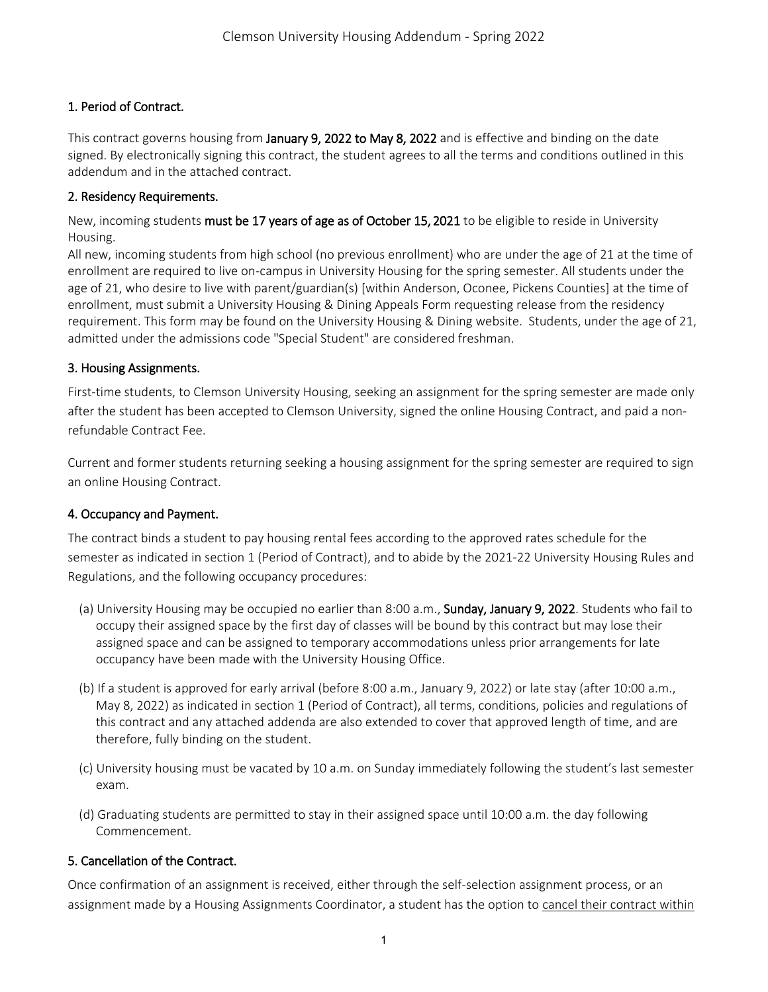# 1. Period of Contract.

This contract governs housing from January 9, 2022 to May 8, 2022 and is effective and binding on the date signed. By electronically signing this contract, the student agrees to all the terms and conditions outlined in this addendum and in the attached contract.

### 2. Residency Requirements.

New, incoming students must be 17 years of age as of October 15, 2021 to be eligible to reside in University Housing.

All new, incoming students from high school (no previous enrollment) who are under the age of 21 at the time of enrollment are required to live on-campus in University Housing for the spring semester. All students under the age of 21, who desire to live with parent/guardian(s) [within Anderson, Oconee, Pickens Counties] at the time of enrollment, must submit a University Housing & Dining Appeals Form requesting release from the residency requirement. This form may be found on the University Housing & Dining website. Students, under the age of 21, admitted under the admissions code "Special Student" are considered freshman.

### 3. Housing Assignments.

First-time students, to Clemson University Housing, seeking an assignment for the spring semester are made only after the student has been accepted to Clemson University, signed the online Housing Contract, and paid a nonrefundable Contract Fee.

Current and former students returning seeking a housing assignment for the spring semester are required to sign an online Housing Contract.

## 4. Occupancy and Payment.

The contract binds a student to pay housing rental fees according to the approved rates schedule for the semester as indicated in section 1 (Period of Contract), and to abide by the 2021-22 University Housing Rules and Regulations, and the following occupancy procedures:

- (a) University Housing may be occupied no earlier than 8:00 a.m., Sunday, January 9, 2022. Students who fail to occupy their assigned space by the first day of classes will be bound by this contract but may lose their assigned space and can be assigned to temporary accommodations unless prior arrangements for late occupancy have been made with the University Housing Office.
- (b) If a student is approved for early arrival (before 8:00 a.m., January 9, 2022) or late stay (after 10:00 a.m., May 8, 2022) as indicated in section 1 (Period of Contract), all terms, conditions, policies and regulations of this contract and any attached addenda are also extended to cover that approved length of time, and are therefore, fully binding on the student.
- (c) University housing must be vacated by 10 a.m. on Sunday immediately following the student's last semester exam.
- (d) Graduating students are permitted to stay in their assigned space until 10:00 a.m. the day following Commencement.

## 5. Cancellation of the Contract.

Once confirmation of an assignment is received, either through the self-selection assignment process, or an assignment made by a Housing Assignments Coordinator, a student has the option to cancel their contract within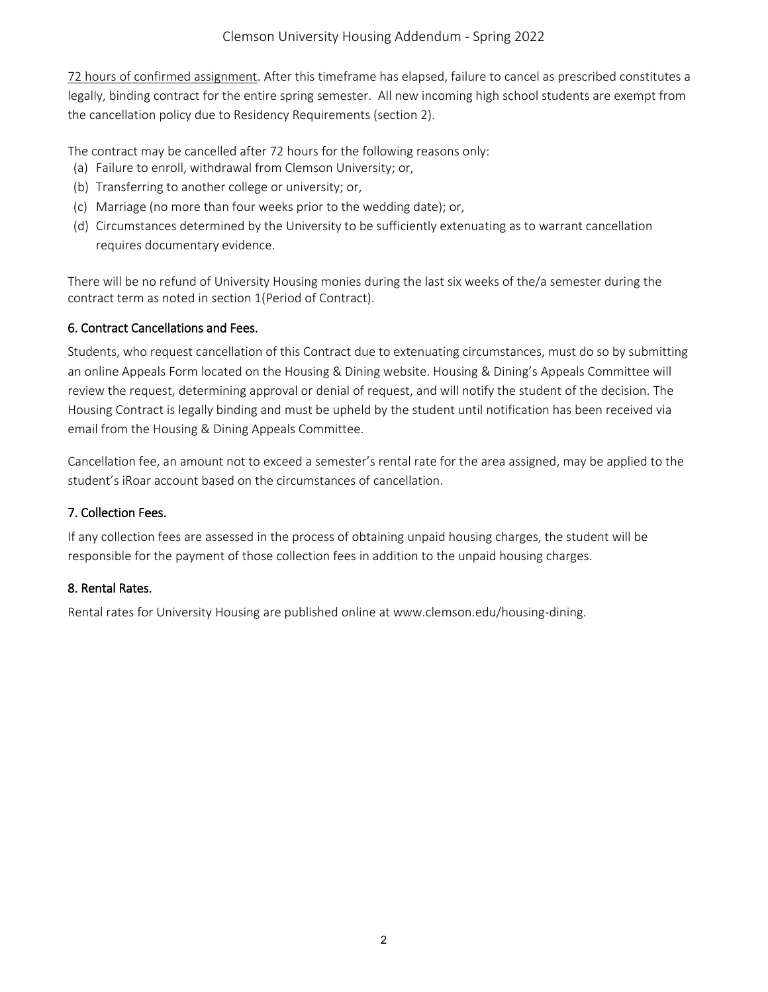72 hours of confirmed assignment. After this timeframe has elapsed, failure to cancel as prescribed constitutes a legally, binding contract for the entire spring semester. All new incoming high school students are exempt from the cancellation policy due to Residency Requirements (section 2).

The contract may be cancelled after 72 hours for the following reasons only:

- (a) Failure to enroll, withdrawal from Clemson University; or,
- (b) Transferring to another college or university; or,
- (c) Marriage (no more than four weeks prior to the wedding date); or,
- (d) Circumstances determined by the University to be sufficiently extenuating as to warrant cancellation requires documentary evidence.

There will be no refund of University Housing monies during the last six weeks of the/a semester during the contract term as noted in section 1(Period of Contract).

### 6. Contract Cancellations and Fees.

Students, who request cancellation of this Contract due to extenuating circumstances, must do so by submitting an online Appeals Form located on the Housing & Dining website. Housing & Dining's Appeals Committee will review the request, determining approval or denial of request, and will notify the student of the decision. The Housing Contract is legally binding and must be upheld by the student until notification has been received via email from the Housing & Dining Appeals Committee.

Cancellation fee, an amount not to exceed a semester's rental rate for the area assigned, may be applied to the student's iRoar account based on the circumstances of cancellation.

#### 7. Collection Fees.

If any collection fees are assessed in the process of obtaining unpaid housing charges, the student will be responsible for the payment of those collection fees in addition to the unpaid housing charges.

#### 8. Rental Rates.

Rental rates for University Housing are published online at www.clemson.edu/housing-dining.